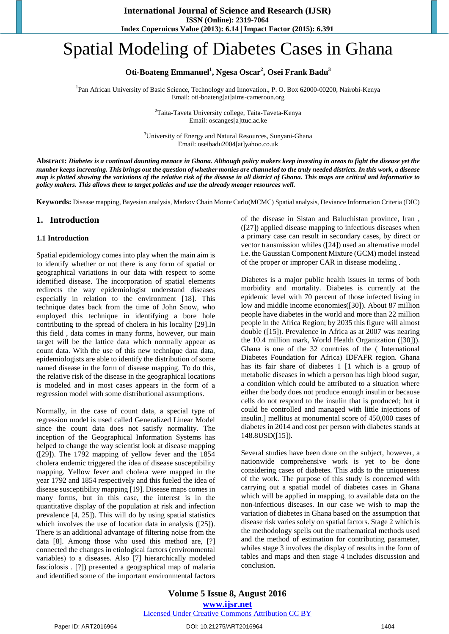# Spatial Modeling of Diabetes Cases in Ghana

# Oti-Boateng Emmanuel<sup>1</sup>, Ngesa Oscar<sup>2</sup>, Osei Frank Badu<sup>3</sup>

<sup>1</sup>Pan African University of Basic Science, Technology and Innovation., P. O. Box 62000-00200, Nairobi-Kenya Email: oti-boateng[at]aims-cameroon.org

> <sup>2</sup>Taita-Taveta University college, Taita-Taveta-Kenya Email: oscanges[a]ttuc.ac.ke

<sup>3</sup>University of Energy and Natural Resources, Sunyani-Ghana Email: oseibadu2004[at]yahoo.co.uk

Abstract: Diabetes is a continual daunting menace in Ghana. Although policy makers keep investing in areas to fight the disease yet the number keeps increasing. This brings out the question of whether monies are channeled to the truly needed districts. In this work, a disease map is plotted showing the variations of the relative risk of the disease in all district of Ghana. This maps are critical and informative to *policy makers. This allows them to target policies and use the already meager resources well.*

**Keywords:** Disease mapping, Bayesian analysis, Markov Chain Monte Carlo(MCMC) Spatial analysis, Deviance Information Criteria (DIC)

### **1. Introduction**

#### **1.1 Introduction**

Spatial epidemiology comes into play when the main aim is to identify whether or not there is any form of spatial or geographical variations in our data with respect to some identified disease. The incorporation of spatial elements redirects the way epidemiologist understand diseases especially in relation to the environment [18]. This technique dates back from the time of John Snow, who employed this technique in identifying a bore hole contributing to the spread of cholera in his locality [29].In this field , data comes in many forms, however, our main target will be the lattice data which normally appear as count data. With the use of this new technique data data, epidemiologists are able to identify the distribution of some named disease in the form of disease mapping. To do this, the relative risk of the disease in the geographical locations is modeled and in most cases appears in the form of a regression model with some distributional assumptions.

Normally, in the case of count data, a special type of regression model is used called Generalized Linear Model since the count data does not satisfy normality. The inception of the Geographical Information Systems has helped to change the way scientist look at disease mapping ([29]). The 1792 mapping of yellow fever and the 1854 cholera endemic triggered the idea of disease susceptibility mapping. Yellow fever and cholera were mapped in the year 1792 and 1854 respectively and this fueled the idea of disease susceptibility mapping [19]. Disease maps comes in many forms, but in this case, the interest is in the quantitative display of the population at risk and infection prevalence [4, 25]). This will do by using spatial statistics which involves the use of location data in analysis ([25]). There is an additional advantage of filtering noise from the data [8]. Among those who used this method are, [?] connected the changes in etiological factors (environmental variables) to a diseases. Also [7] hierarchically modeled fasciolosis . [?]) presented a geographical map of malaria and identified some of the important environmental factors

of the disease in Sistan and Baluchistan province, Iran , ([27]) applied disease mapping to infectious diseases when a primary case can result in secondary cases, by direct or vector transmission whiles ([24]) used an alternative model i.e. the Gaussian Component Mixture (GCM) model instead of the proper or improper CAR in disease modeling .

Diabetes is a major public health issues in terms of both morbidity and mortality. Diabetes is currently at the epidemic level with 70 percent of those infected living in low and middle income economies([30]). About 87 million people have diabetes in the world and more than 22 million people in the Africa Region; by 2035 this figure will almost double ([15]). Prevalence in Africa as at 2007 was nearing the 10.4 million mark, World Health Organization ([30])). Ghana is one of the 32 countries of the ( International Diabetes Foundation for Africa) IDFAFR region. Ghana has its fair share of diabetes 1 [1 which is a group of metabolic diseases in which a person has high blood sugar, a condition which could be attributed to a situation where either the body does not produce enough insulin or because cells do not respond to the insulin that is produced; but it could be controlled and managed with little injections of insulin.] mellitus at monumental score of 450,000 cases of diabetes in 2014 and cost per person with diabetes stands at 148.8USD([15]).

Several studies have been done on the subject, however, a nationwide comprehensive work is yet to be done considering cases of diabetes. This adds to the uniqueness of the work. The purpose of this study is concerned with carrying out a spatial model of diabetes cases in Ghana which will be applied in mapping, to available data on the non-infectious diseases. In our case we wish to map the variation of diabetes in Ghana based on the assumption that disease risk varies solely on spatial factors. Stage 2 which is the methodology spells out the mathematical methods used and the method of estimation for contributing parameter, whiles stage 3 involves the display of results in the form of tables and maps and then stage 4 includes discussion and conclusion.

#### Paper ID: ART2016964 DOI: 10.21275/ART2016964 1404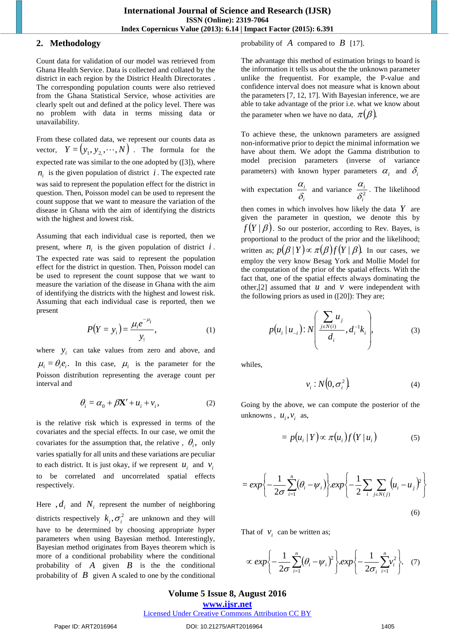# **2. Methodology**

Count data for validation of our model was retrieved from Ghana Health Service. Data is collected and collated by the district in each region by the District Health Directorates . The corresponding population counts were also retrieved from the Ghana Statistical Service, whose activities are clearly spelt out and defined at the policy level. There was no problem with data in terms missing data or unavailability.

From these collated data, we represent our counts data as vector,  $Y = (y_1, y_2, \dots, N)$ . The formula for the expected rate was similar to the one adopted by ([3]), where  $n_i$  is the given population of district  $i$ . The expected rate was said to represent the population effect for the district in question. Then, Poisson model can be used to represent the count suppose that we want to measure the variation of the disease in Ghana with the aim of identifying the districts with the highest and lowest risk.

Assuming that each individual case is reported, then we present, where  $n_i$  is the given population of district  $i$ . The expected rate was said to represent the population effect for the district in question. Then, Poisson model can be used to represent the count suppose that we want to measure the variation of the disease in Ghana with the aim of identifying the districts with the highest and lowest risk. Assuming that each individual case is reported, then we present

$$
P(Y = y_i) = \frac{\mu_i e^{-\mu_i}}{y_1},
$$
 (1)

where  $y_i$  can take values from zero and above, and  $\mu_i = \theta_i e_i$ . In this case,  $\mu_i$  is the parameter for the Poisson distribution representing the average count per interval and

$$
\theta_i = \alpha_0 + \beta \mathbf{X}' + u_i + v_i, \qquad (2)
$$

is the relative risk which is expressed in terms of the covariates and the special effects. In our case, we omit the covariates for the assumption that, the relative ,  $\theta_i$ , only varies spatially for all units and these variations are peculiar to each district. It is just okay, if we represent  $u_i$  and  $v_i$ to be correlated and uncorrelated spatial effects respectively.

Here  $,d_i$  and  $N_i$  represent the number of neighboring districts respectively  $k_i, \sigma_i^2$  are unknown and they will have to be determined by choosing appropriate hyper parameters when using Bayesian method. Interestingly, Bayesian method originates from Bayes theorem which is more of a conditional probability where the conditional probability of  $\vec{A}$  given  $\vec{B}$  is the the conditional probability of  $\hat{B}$  given A scaled to one by the conditional probability of  $\overline{A}$  compared to  $\overline{B}$  [17].

The advantage this method of estimation brings to board is the information it tells us about the the unknown parameter unlike the frequentist. For example, the P-value and confidence interval does not measure what is known about the parameters [7, 12, 17]. With Bayesian inference, we are able to take advantage of the prior i.e. what we know about the parameter when we have no data,  $\pi(\beta)$ .

To achieve these, the unknown parameters are assigned non-informative prior to depict the minimal information we have about them. We adopt the Gamma distribution to model precision parameters (inverse of variance parameters) with known hyper parameters  $\alpha_i$  and  $\delta_i$ 

with expectation *i i* δ  $\frac{\alpha_i}{s}$  and variance  $\frac{\alpha_i}{s^2}$ *i i*  $\frac{\alpha_i}{\delta^2}$ . The likelihood

then comes in which involves how likely the data *Y* are given the parameter in question, we denote this by  $f(Y | \beta)$ . So our posterior, according to Rev. Bayes, is proportional to the product of the prior and the likelihood; written as;  $p(\beta | Y) \propto \pi(\beta) f(Y | \beta)$ . In our cases, we employ the very know Besag York and Mollie Model for the computation of the prior of the spatial effects. With the fact that, one of the spatial effects always dominating the other, [2] assumed that  $u$  and  $v$  were independent with the following priors as used in ([20]): They are;

$$
p(u_i | u_{-i}) : N\left(\frac{\sum_{j \in N(i)} u_j}{d_i}, d_i^{-1} k_i\right), \tag{3}
$$

whiles,

$$
v_i : N\left(0, \sigma_i^2\right) \tag{4}
$$

Going by the above, we can compute the posterior of the unknowns,  $u_i, v_i$  as,

$$
= p(u_i | Y) \propto \pi(u_i) f(Y | u_i)
$$
 (5)

$$
= exp\left\{-\frac{1}{2\sigma}\sum_{i=1}^{n}(\theta_{i}-\psi_{i})\right\}exp\left\{-\frac{1}{2}\sum_{i}\sum_{j\in N(j)}(u_{i}-u_{j})^{2}\right\}
$$
(6)

That of  $v_i$  can be written as;

$$
\propto \exp\left\{-\frac{1}{2\sigma}\sum_{i=1}^{n}(\theta_{i}-\psi_{i})^{2}\right\}.\exp\left\{-\frac{1}{2\sigma_{i}}\sum_{i=1}^{n}v_{i}^{2}\right\}.\quad(7)
$$

# **Volume 5 Issue 8, August 2016**

**www.ijsr.net**

# [Licensed Under Creative Commons Attribution CC BY](http://creativecommons.org/licenses/by/4.0/)

#### Paper ID: ART2016964 DOI: 10.21275/ART2016964 1405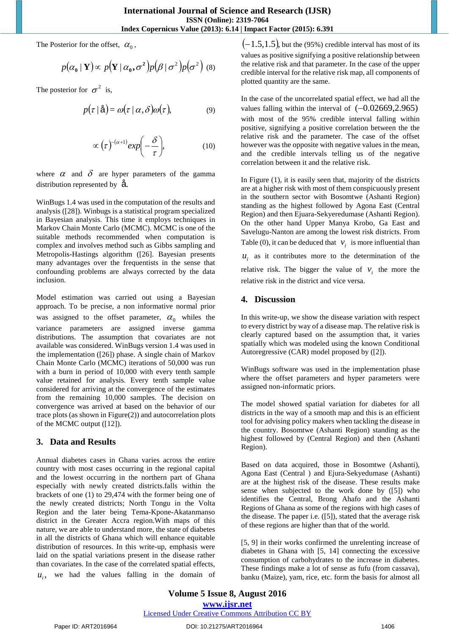The Posterior for the offset,  $\alpha_0$ ,

$$
p(\alpha_0 | \mathbf{Y}) \propto p(\mathbf{Y} | \alpha_0, \sigma^2) p(\beta | \sigma^2) p(\sigma^2)
$$
 (8)

The posterior for  $\sigma^2$  is,

$$
p(\tau | \hat{\mathbf{a}}) = \omega(\tau | \alpha, \delta) \omega(\tau), \tag{9}
$$

$$
\propto (\tau)^{-(\alpha+1)} exp\biggl(-\frac{\delta}{\tau}\biggr), \tag{10}
$$

where  $\alpha$  and  $\delta$  are hyper parameters of the gamma distribution represented by å.

WinBugs 1.4 was used in the computation of the results and analysis ([28]). Winbugs is a statistical program specialized in Bayesian analysis. This time it employs techniques in Markov Chain Monte Carlo (MCMC). MCMC is one of the suitable methods recommended when computation is complex and involves method such as Gibbs sampling and Metropolis-Hastings algorithm ([26]. Bayesian presents many advantages over the frequentists in the sense that confounding problems are always corrected by the data inclusion.

Model estimation was carried out using a Bayesian approach. To be precise, a non informative normal prior was assigned to the offset parameter,  $\alpha_0$  whiles the variance parameters are assigned inverse gamma distributions. The assumption that covariates are not available was considered. WinBugs version 1.4 was used in the implementation ([26]) phase. A single chain of Markov Chain Monte Carlo (MCMC) iterations of 50,000 was run with a burn in period of 10,000 with every tenth sample value retained for analysis. Every tenth sample value considered for arriving at the convergence of the estimates from the remaining 10,000 samples. The decision on convergence was arrived at based on the behavior of our trace plots (as shown in Figure(2)) and autocorrelation plots of the MCMC output ([12]).

# **3. Data and Results**

Annual diabetes cases in Ghana varies across the entire country with most cases occurring in the regional capital and the lowest occurring in the northern part of Ghana especially with newly created districts.falls within the brackets of one (1) to 29,474 with the former being one of the newly created districts; North Tongu in the Volta Region and the later being Tema-Kpone-Akatanmanso district in the Greater Accra region.With maps of this nature, we are able to understand more, the state of diabetes in all the districts of Ghana which will enhance equitable distribution of resources. In this write-up, emphasis were laid on the spatial variations present in the disease rather than covariates. In the case of the correlated spatial effects,

 $u_i$ , we had the values falling in the domain of

 $(-1.5,1.5)$ , but the (95%) credible interval has most of its values as positive signifying a positive relationship between the relative risk and that parameter. In the case of the upper credible interval for the relative risk map, all components of plotted quantity are the same.

In the case of the uncorrelated spatial effect, we had all the values falling within the interval of  $(-0.02669, 2.965)$ with most of the 95% credible interval falling within positive, signifying a positive correlation between the the relative risk and the parameter. The case of the offset however was the opposite with negative values in the mean, and the credible intervals telling us of the negative correlation between it and the relative risk.

In Figure (1), it is easily seen that, majority of the districts are at a higher risk with most of them conspicuously present in the southern sector with Bosomtwe (Ashanti Region) standing as the highest followed by Agona East (Central Region) and then Ejuara-Sekyeredumase (Ashanti Region). On the other hand Upper Manya Krobo, Ga East and Savelugu-Nanton are among the lowest risk districts. From Table (0), it can be deduced that  $v_i$  is more influential than  $u_i$  as it contributes more to the determination of the

relative risk. The bigger the value of  $v_i$  the more the relative risk in the district and vice versa.

# **4. Discussion**

In this write-up, we show the disease variation with respect to every district by way of a disease map. The relative risk is clearly captured based on the assumption that, it varies spatially which was modeled using the known Conditional Autoregressive (CAR) model proposed by ([2]).

WinBugs software was used in the implementation phase where the offset parameters and hyper parameters were assigned non-informatic priors.

The model showed spatial variation for diabetes for all districts in the way of a smooth map and this is an efficient tool for advising policy makers when tackling the disease in the country. Bosomtwe (Ashanti Region) standing as the highest followed by (Central Region) and then (Ashanti Region).

Based on data acquired, those in Bosomtwe (Ashanti), Agona East (Central ) and Ejura-Sekyedumase (Ashanti) are at the highest risk of the disease. These results make sense when subjected to the work done by ([5]) who identifies the Central, Brong Ahafo and the Ashanti Regions of Ghana as some of the regions with high cases of the disease. The paper i.e. ([5]), stated that the average risk of these regions are higher than that of the world.

[5, 9] in their works confirmed the unrelenting increase of diabetes in Ghana with [5, 14] connecting the excessive consumption of carbohydrates to the increase in diabetes. These findings make a lot of sense as fufu (from cassava), banku (Maize), yam, rice, etc. form the basis for almost all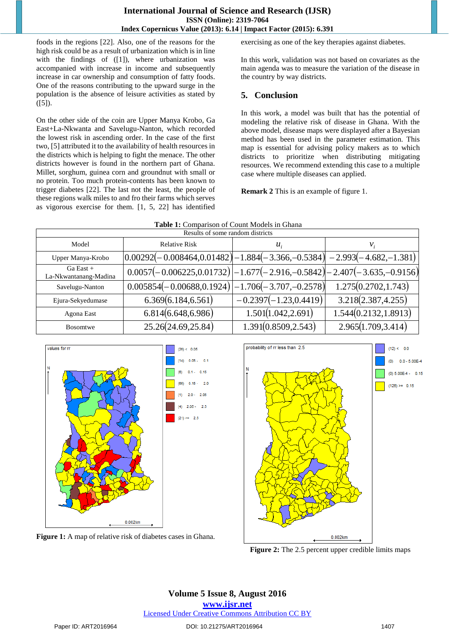foods in the regions [22]. Also, one of the reasons for the high risk could be as a result of urbanization which is in line with the findings of ([1]), where urbanization was accompanied with increase in income and subsequently increase in car ownership and consumption of fatty foods. One of the reasons contributing to the upward surge in the population is the absence of leisure activities as stated by  $([5])$ .

On the other side of the coin are Upper Manya Krobo, Ga East+La-Nkwanta and Savelugu-Nanton, which recorded the lowest risk in ascending order. In the case of the first two, [5] attributed it to the availability of health resources in the districts which is helping to fight the menace. The other districts however is found in the northern part of Ghana. Millet, sorghum, guinea corn and groundnut with small or no protein. Too much protein-contents has been known to trigger diabetes [22]. The last not the least, the people of these regions walk miles to and fro their farms which serves as vigorous exercise for them. [1, 5, 22] has identified

exercising as one of the key therapies against diabetes.

In this work, validation was not based on covariates as the main agenda was to measure the variation of the disease in the country by way districts.

# **5. Conclusion**

In this work, a model was built that has the potential of modeling the relative risk of disease in Ghana. With the above model, disease maps were displayed after a Bayesian method has been used in the parameter estimation. This map is essential for advising policy makers as to which districts to prioritize when distributing mitigating resources. We recommend extending this case to a multiple case where multiple diseases can applied.

**Remark 2** This is an example of figure 1.

| <b>THOICE, COMPANDON OF COMMUNICATION</b> IN OMAIN<br>Results of some random districts |                                                                                                    |                            |                       |  |
|----------------------------------------------------------------------------------------|----------------------------------------------------------------------------------------------------|----------------------------|-----------------------|--|
| Model                                                                                  | <b>Relative Risk</b>                                                                               | $u_{\cdot}$                | ν,                    |  |
| Upper Manya-Krobo                                                                      | $\left[0.00292(-0.008464, 0.01482)\right] - 1.884(-3.366, -0.5384)\right] - 2.993(-4.682, -1.381)$ |                            |                       |  |
| $Ga$ East $+$<br>La-Nkwantanang-Madina                                                 | $0.0057(-0.006225, 0.01732)\left[-1.677(-2.916, -0.5842)\right]-2.407(-3.635, -0.9156)\right]$     |                            |                       |  |
| Savelugu-Nanton                                                                        | $0.005854(-0.00688, 0.1924)$                                                                       | $[-1.706(-3.707,-0.2578)]$ | 1.275(0.2702, 1.743)  |  |
| Ejura-Sekyedumase                                                                      | 6.369(6.184, 6.561)                                                                                | $-0.2397(-1.23, 0.4419)$   | 3.218(2.387, 4.255)   |  |
| Agona East                                                                             | 6.814(6.648, 6.986)                                                                                | 1.501(1.042, 2.691)        | 1.544(0.2132, 1.8913) |  |
| <b>Bosomtwe</b>                                                                        | 25.26(24.69, 25.84)                                                                                | 1.391(0.8509, 2.543)       | 2.965(1.709, 3.414)   |  |

 $0.1$ 

 $2.0$ 

2.05  $2.5$ 

| Table 1: Comparison of Count Models in Ghana |  |
|----------------------------------------------|--|
|----------------------------------------------|--|



**Figure 1:** A map of relative risk of diabetes cases in Ghana.



**Figure 2:** The 2.5 percent upper credible limits maps

**Volume 5 Issue 8, August 2016 www.ijsr.net** [Licensed Under Creative Commons Attribution CC BY](http://creativecommons.org/licenses/by/4.0/)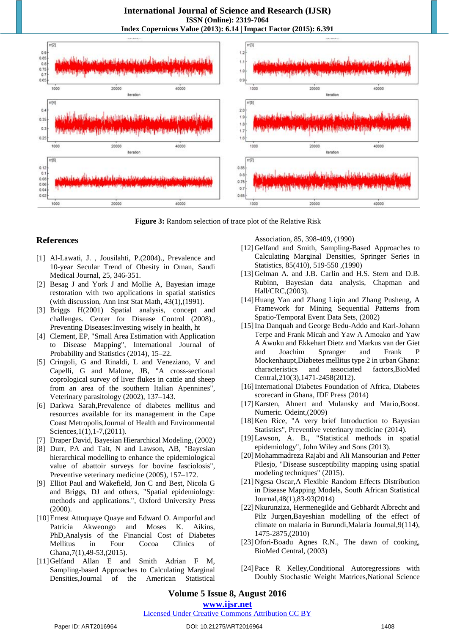

**Figure 3:** Random selection of trace plot of the Relative Risk

# **References**

- [1] Al-Lawati, J. , Jousilahti, P.(2004)., Prevalence and 10-year Secular Trend of Obesity in Oman, Saudi Medical Journal, 25, 346-351.
- [2] Besag J and York J and Mollie A, Bayesian image restoration with two applications in spatial statistics (with discussion, Ann Inst Stat Math, 43(1),(1991).
- [3] Briggs H(2001) Spatial analysis, concept and challenges. Center for Disease Control (2008)., Preventing Diseases:Investing wisely in health, ht
- [4] Clement, EP, "Small Area Estimation with Application to Disease Mapping", International Journal of Probability and Statistics (2014), 15–22.
- [5] Cringoli, G and Rinaldi, L and Veneziano, V and Capelli, G and Malone, JB, "A cross-sectional coprological survey of liver flukes in cattle and sheep from an area of the southern Italian Apennines", Veterinary parasitology (2002), 137–143.
- [6] Darkwa Sarah,Prevalence of diabetes mellitus and resources available for its management in the Cape Coast Metropolis,Journal of Health and Environmental Sciences, 1(1), 1-7, (2011).
- [7] Draper David, Bayesian Hierarchical Modeling, (2002)
- [8] Durr, PA and Tait, N and Lawson, AB, "Bayesian hierarchical modelling to enhance the epidemiological value of abattoir surveys for bovine fasciolosis", Preventive veterinary medicine (2005), 157–172.
- [9] Elliot Paul and Wakefield, Jon C and Best, Nicola G and Briggs, DJ and others, "Spatial epidemiology: methods and applications.", Oxford University Press (2000).
- [10]Ernest Attuquaye Quaye and Edward O. Amporful and Patricia Akweongo and Moses K. Aikins, PhD,Analysis of the Financial Cost of Diabetes Mellitus in Four Cocoa Clinics of Ghana,7(1),49-53,(2015).
- [11]Gelfand Allan E and Smith Adrian F M, Sampling-based Approaches to Calculating Marginal Densities,Journal of the American Statistical

Association, 85, 398-409, (1990)

- [12]Gelfand and Smith, Sampling-Based Approaches to Calculating Marginal Densities, Springer Series in Statistics, 85(410), 519-550 ,(1990)
- [13]Gelman A. and J.B. Carlin and H.S. Stern and D.B. Rubinn, Bayesian data analysis, Chapman and Hall/CRC,(2003).
- [14]Huang Yan and Zhang Liqin and Zhang Pusheng, A Framework for Mining Sequential Patterns from Spatio-Temporal Event Data Sets, (2002)
- [15]Ina Danquah and George Bedu-Addo and Karl-Johann Terpe and Frank Micah and Yaw A Amoako and Yaw A Awuku and Ekkehart Dietz and Markus van der Giet and Joachim Spranger and Frank P Mockenhaupt,Diabetes mellitus type 2 in urban Ghana: characteristics and associated factors,BioMed Central,210(3),1471-2458(2012).
- [16] International Diabetes Foundation of Africa, Diabetes scorecard in Ghana, IDF Press (2014)
- [17] Karsten, Ahnert and Mulansky and Mario, Boost. Numeric. Odeint,(2009)
- [18] Ken Rice, "A very brief Introduction to Bayesian Statistics", Preventive veterinary medicine (2014).
- [19]Lawson, A. B., "Statistical methods in spatial epidemiology", John Wiley and Sons (2013).
- [20]Mohammadreza Rajabi and Ali Mansourian and Petter Pilesjo, "Disease susceptibility mapping using spatial modeling techniques" (2015).
- [21]Ngesa Oscar,A Flexible Random Effects Distribution in Disease Mapping Models, South African Statistical Journal,48(1),83-93(2014)
- [22]Nkurunziza, Hermenegilde and Gebhardt Albrecht and Pilz Jurgen,Bayeshian modelling of the effect of climate on malaria in Burundi,Malaria Journal,9(114), 1475-2875,(2010)
- [23]Ofori-Boadu Agnes R.N., The dawn of cooking, BioMed Central, (2003)
- [24] Pace R Kelley, Conditional Autoregressions with Doubly Stochastic Weight Matrices,National Science

# **Volume 5 Issue 8, August 2016**

## **www.ijsr.net**

# [Licensed Under Creative Commons Attribution CC BY](http://creativecommons.org/licenses/by/4.0/)